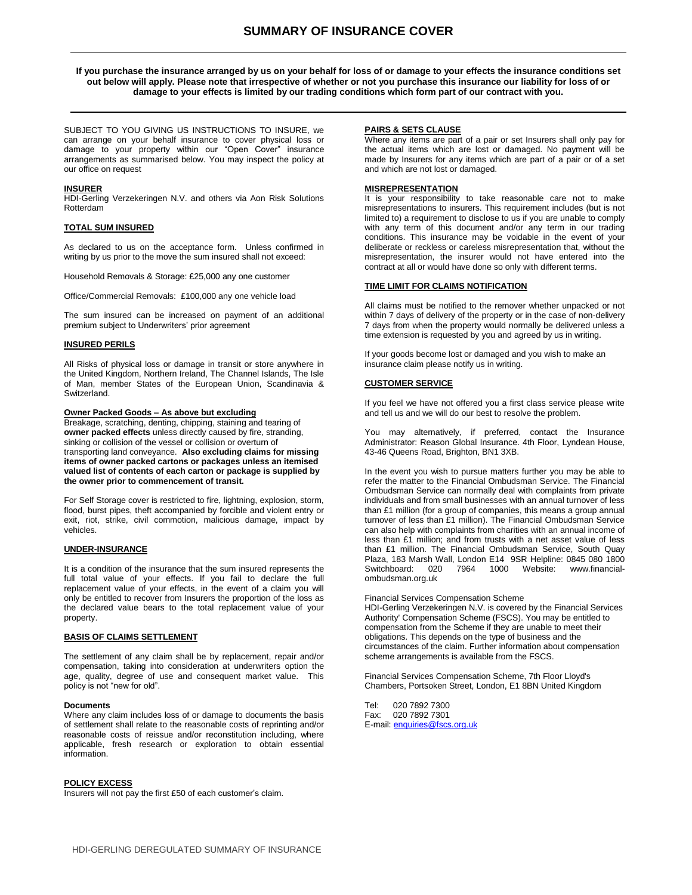# **SUMMARY OF INSURANCE COVER**

**If you purchase the insurance arranged by us on your behalf for loss of or damage to your effects the insurance conditions set out below will apply. Please note that irrespective of whether or not you purchase this insurance our liability for loss of or damage to your effects is limited by our trading conditions which form part of our contract with you.**

SUBJECT TO YOU GIVING US INSTRUCTIONS TO INSURE, we can arrange on your behalf insurance to cover physical loss or damage to your property within our "Open Cover" insurance arrangements as summarised below. You may inspect the policy at our office on request

### **INSURER**

HDI-Gerling Verzekeringen N.V. and others via Aon Risk Solutions Rotterdam

# **TOTAL SUM INSURED**

As declared to us on the acceptance form. Unless confirmed in writing by us prior to the move the sum insured shall not exceed:

Household Removals & Storage: £25,000 any one customer

Office/Commercial Removals: £100,000 any one vehicle load

The sum insured can be increased on payment of an additional premium subject to Underwriters' prior agreement

#### **INSURED PERILS**

All Risks of physical loss or damage in transit or store anywhere in the United Kingdom, Northern Ireland, The Channel Islands, The Isle of Man, member States of the European Union, Scandinavia & Switzerland.

## **Owner Packed Goods – As above but excluding**

Breakage, scratching, denting, chipping, staining and tearing of **owner packed effects** unless directly caused by fire, stranding, sinking or collision of the vessel or collision or overturn of transporting land conveyance. **Also excluding claims for missing items of owner packed cartons or packages unless an itemised valued list of contents of each carton or package is supplied by the owner prior to commencement of transit.**

For Self Storage cover is restricted to fire, lightning, explosion, storm, flood, burst pipes, theft accompanied by forcible and violent entry or exit, riot, strike, civil commotion, malicious damage, impact by vehicles.

## **UNDER-INSURANCE**

It is a condition of the insurance that the sum insured represents the full total value of your effects. If you fail to declare the full replacement value of your effects, in the event of a claim you will only be entitled to recover from Insurers the proportion of the loss as the declared value bears to the total replacement value of your property.

#### **BASIS OF CLAIMS SETTLEMENT**

The settlement of any claim shall be by replacement, repair and/or compensation, taking into consideration at underwriters option the age, quality, degree of use and consequent market value. This policy is not "new for old".

#### **Documents**

Where any claim includes loss of or damage to documents the basis of settlement shall relate to the reasonable costs of reprinting and/or reasonable costs of reissue and/or reconstitution including, where applicable, fresh research or exploration to obtain essential information.

#### **POLICY EXCESS**

Insurers will not pay the first £50 of each customer's claim.

#### **PAIRS & SETS CLAUSE**

Where any items are part of a pair or set Insurers shall only pay for the actual items which are lost or damaged. No payment will be made by Insurers for any items which are part of a pair or of a set and which are not lost or damaged.

# **MISREPRESENTATION**

It is your responsibility to take reasonable care not to make misrepresentations to insurers. This requirement includes (but is not limited to) a requirement to disclose to us if you are unable to comply with any term of this document and/or any term in our trading conditions. This insurance may be voidable in the event of your deliberate or reckless or careless misrepresentation that, without the misrepresentation, the insurer would not have entered into the contract at all or would have done so only with different terms.

## **TIME LIMIT FOR CLAIMS NOTIFICATION**

All claims must be notified to the remover whether unpacked or not within 7 days of delivery of the property or in the case of non-delivery 7 days from when the property would normally be delivered unless a time extension is requested by you and agreed by us in writing.

If your goods become lost or damaged and you wish to make an insurance claim please notify us in writing.

# **CUSTOMER SERVICE**

If you feel we have not offered you a first class service please write and tell us and we will do our best to resolve the problem.

You may alternatively, if preferred, contact the Insurance Administrator: Reason Global Insurance. 4th Floor, Lyndean House, 43-46 Queens Road, Brighton, BN1 3XB.

In the event you wish to pursue matters further you may be able to refer the matter to the Financial Ombudsman Service. The Financial Ombudsman Service can normally deal with complaints from private individuals and from small businesses with an annual turnover of less than £1 million (for a group of companies, this means a group annual turnover of less than £1 million). The Financial Ombudsman Service can also help with complaints from charities with an annual income of less than £1 million; and from trusts with a net asset value of less than £1 million. The Financial Ombudsman Service, South Quay Plaza, 183 Marsh Wall, London E14 9SR Helpline: 0845 080 1800 Switchboard: 020 7964 1000 Website: www.financialombudsman.org.uk

#### Financial Services Compensation Scheme

HDI-Gerling Verzekeringen N.V. is covered by the Financial Services Authority' Compensation Scheme (FSCS). You may be entitled to compensation from the Scheme if they are unable to meet their obligations. This depends on the type of business and the circumstances of the claim. Further information about compensation scheme arrangements is available from the FSCS.

Financial Services Compensation Scheme, 7th Floor Lloyd's Chambers, Portsoken Street, London, E1 8BN United Kingdom

Tel: 020 7892 7300 Fax: 020 7892 7301 E-mail[: enquiries@fscs.org.uk](mailto:enquiries@fscs.org.uk)